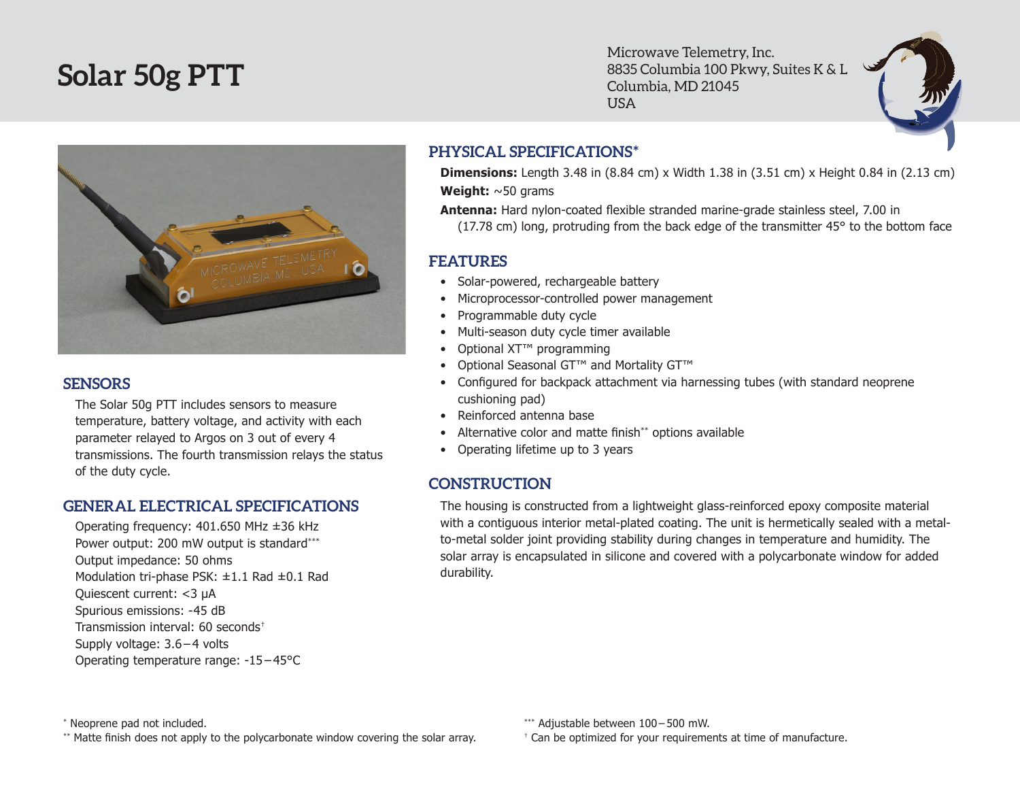# **Solar 50g PTT**

Microwave Telemetry, Inc. 8835 Columbia 100 Pkwy, Suites K & L Columbia, MD 21045 USA



#### **SENSORS**

The Solar 50g PTT includes sensors to measure temperature, battery voltage, and activity with each parameter relayed to Argos on 3 out of every 4 transmissions. The fourth transmission relays the status of the duty cycle.

### **GENERAL ELECTRICAL SPECIFICATIONS**

Operating frequency: 401.650 MHz ±36 kHz Power output: 200 mW output is standard\*\*\* Output impedance: 50 ohms Modulation tri-phase PSK: ±1.1 Rad ±0.1 Rad Quiescent current: <3 µA Spurious emissions: -45 dB Transmission interval: 60 seconds† Supply voltage: 3.6 – 4 volts Operating temperature range: -15 – 45°C

# **PHYSICAL SPECIFICATIONS\***

**Dimensions:** Length 3.48 in (8.84 cm) x Width 1.38 in (3.51 cm) x Height 0.84 in (2.13 cm) **Weight:** ~50 grams

**Antenna:** Hard nylon-coated flexible stranded marine-grade stainless steel, 7.00 in (17.78 cm) long, protruding from the back edge of the transmitter 45° to the bottom face

# **FEATURES**

- Solar-powered, rechargeable battery
- Microprocessor-controlled power management
- • Programmable duty cycle
- Multi-season duty cycle timer available
- Optional XT<sup>™</sup> programming
- Optional Seasonal GT™ and Mortality GT™
- Configured for backpack attachment via harnessing tubes (with standard neoprene cushioning pad)
- Reinforced antenna base
- Alternative color and matte finish\*\* options available
- Operating lifetime up to 3 years

### **CONSTRUCTION**

The housing is constructed from a lightweight glass-reinforced epoxy composite material with a contiguous interior metal-plated coating. The unit is hermetically sealed with a metalto-metal solder joint providing stability during changes in temperature and humidity. The solar array is encapsulated in silicone and covered with a polycarbonate window for added durability.

\*\* Matte finish does not apply to the polycarbonate window covering the solar array.

† Can be optimized for your requirements at time of manufacture.

<sup>\*</sup> Neoprene pad not included.

<sup>\*\*\*</sup> Adjustable between 100 – 500 mW.